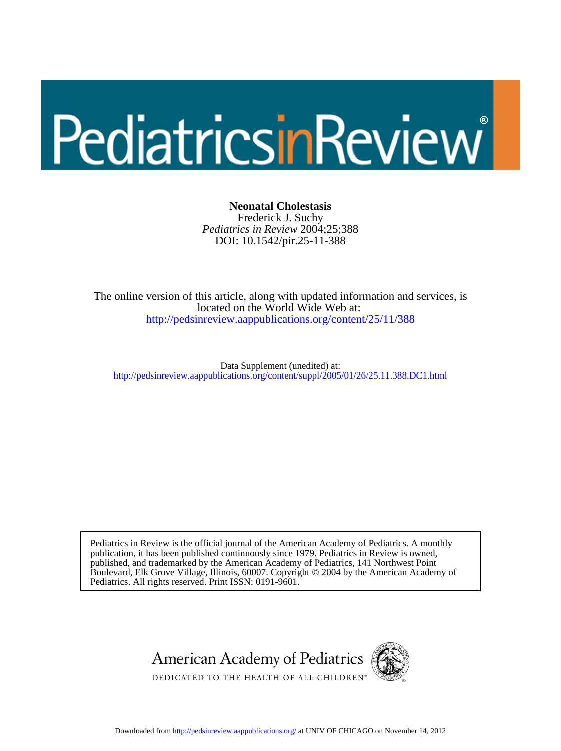# PediatricsinReview

DOI: 10.1542/pir.25-11-388 *Pediatrics in Review* 2004;25;388 Frederick J. Suchy **Neonatal Cholestasis**

[http://pedsinreview.aappublications.org/content/25/11/388](http://http://pedsinreview.aappublications.org/content/25/11/388) located on the World Wide Web at: The online version of this article, along with updated information and services, is

http://pedsinreview.aappublications.org/content/suppl/2005/01/26/25.11.388.DC1.html Data Supplement (unedited) at:

Pediatrics. All rights reserved. Print ISSN: 0191-9601. Boulevard, Elk Grove Village, Illinois, 60007. Copyright © 2004 by the American Academy of published, and trademarked by the American Academy of Pediatrics, 141 Northwest Point publication, it has been published continuously since 1979. Pediatrics in Review is owned, Pediatrics in Review is the official journal of the American Academy of Pediatrics. A monthly



Downloaded from<http://pedsinreview.aappublications.org/>at UNIV OF CHICAGO on November 14, 2012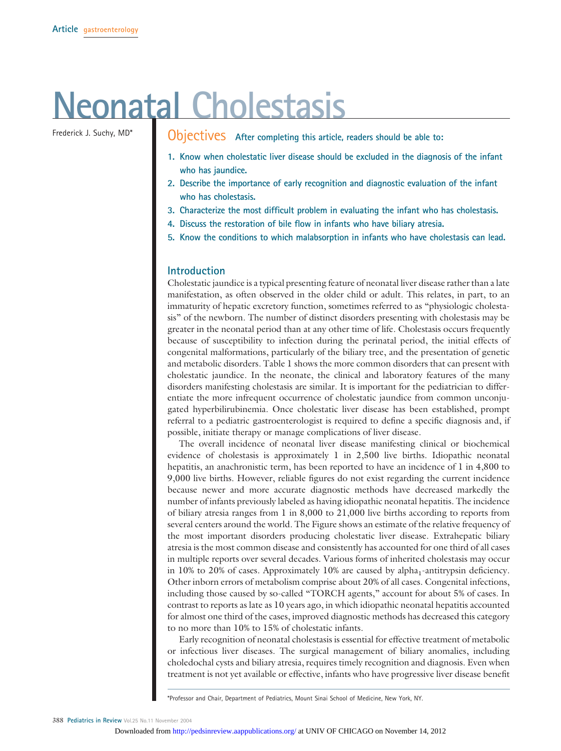# **Neonatal Cholestasis**

Frederick J. Suchy, MD\* **Objectives** After completing this article, readers should be able to:

- **1. Know when cholestatic liver disease should be excluded in the diagnosis of the infant who has jaundice.**
- **2. Describe the importance of early recognition and diagnostic evaluation of the infant who has cholestasis.**
- **3. Characterize the most difficult problem in evaluating the infant who has cholestasis.**
- **4. Discuss the restoration of bile flow in infants who have biliary atresia.**
- **5. Know the conditions to which malabsorption in infants who have cholestasis can lead.**

#### **Introduction**

Cholestatic jaundice is a typical presenting feature of neonatal liver disease rather than a late manifestation, as often observed in the older child or adult. This relates, in part, to an immaturity of hepatic excretory function, sometimes referred to as "physiologic cholestasis" of the newborn. The number of distinct disorders presenting with cholestasis may be greater in the neonatal period than at any other time of life. Cholestasis occurs frequently because of susceptibility to infection during the perinatal period, the initial effects of congenital malformations, particularly of the biliary tree, and the presentation of genetic and metabolic disorders. Table 1 shows the more common disorders that can present with cholestatic jaundice. In the neonate, the clinical and laboratory features of the many disorders manifesting cholestasis are similar. It is important for the pediatrician to differentiate the more infrequent occurrence of cholestatic jaundice from common unconjugated hyperbilirubinemia. Once cholestatic liver disease has been established, prompt referral to a pediatric gastroenterologist is required to define a specific diagnosis and, if possible, initiate therapy or manage complications of liver disease.

The overall incidence of neonatal liver disease manifesting clinical or biochemical evidence of cholestasis is approximately 1 in 2,500 live births. Idiopathic neonatal hepatitis, an anachronistic term, has been reported to have an incidence of 1 in 4,800 to 9,000 live births. However, reliable figures do not exist regarding the current incidence because newer and more accurate diagnostic methods have decreased markedly the number of infants previously labeled as having idiopathic neonatal hepatitis. The incidence of biliary atresia ranges from 1 in 8,000 to 21,000 live births according to reports from several centers around the world. The Figure shows an estimate of the relative frequency of the most important disorders producing cholestatic liver disease. Extrahepatic biliary atresia is the most common disease and consistently has accounted for one third of all cases in multiple reports over several decades. Various forms of inherited cholestasis may occur in 10% to 20% of cases. Approximately 10% are caused by alpha<sub>1</sub>-antitrypsin deficiency. Other inborn errors of metabolism comprise about 20% of all cases. Congenital infections, including those caused by so-called "TORCH agents," account for about 5% of cases. In contrast to reports as late as 10 years ago, in which idiopathic neonatal hepatitis accounted for almost one third of the cases, improved diagnostic methods has decreased this category to no more than 10% to 15% of cholestatic infants.

Early recognition of neonatal cholestasis is essential for effective treatment of metabolic or infectious liver diseases. The surgical management of biliary anomalies, including choledochal cysts and biliary atresia, requires timely recognition and diagnosis. Even when treatment is not yet available or effective, infants who have progressive liver disease benefit

\*Professor and Chair, Department of Pediatrics, Mount Sinai School of Medicine, New York, NY.

388 **Pediatrics in Review** Vol.25 No.11 November 2004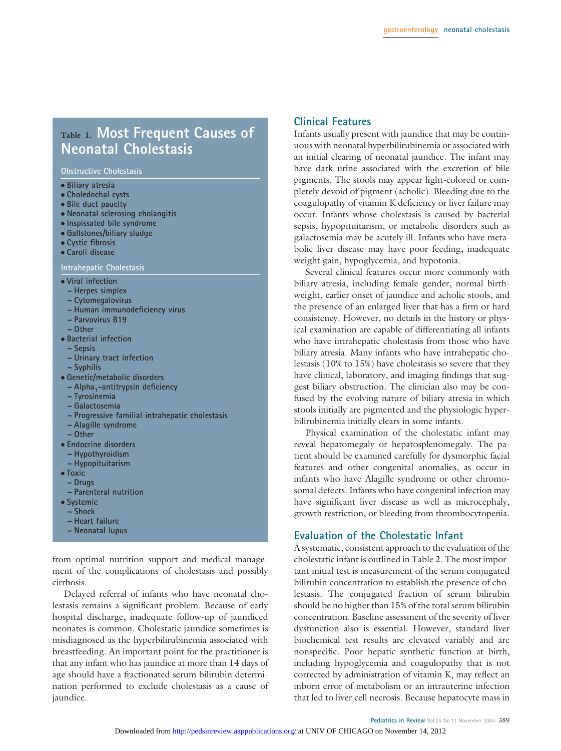# **Table 1. Most Frequent Causes of Neonatal Cholestasis**

**Obstructive Cholestasis**

- **Biliary atresia**
- **Choledochal cysts**
- **Bile duct paucity**
- **Neonatal sclerosing cholangitis**
- **Inspissated bile syndrome**
- **Gallstones/biliary sludge**
- **Cystic fibrosis**
- **Caroli disease**

**Intrahepatic Cholestasis**

- **Viral infection**
- **Herpes simplex**
- **Cytomegalovirus**
- **Human immunodeficiency virus**
- **Parvovirus B19**
- **Other**
- **Bacterial infection**
	- **Sepsis**
	- **Urinary tract infection**
	- **Syphilis**
- **Genetic/metabolic disorders**
- **Alpha<sub>1</sub>-antitrypsin deficiency**
- **Tyrosinemia**
- **Galactosemia**
- **Progressive familial intrahepatic cholestasis**
- **Alagille syndrome**
- **Other**
- **Endocrine disorders**
	- **Hypothyroidism**
	- **Hypopituitarism**
- **Toxic**
- **Drugs**
- **Parenteral nutrition**
- **Systemic**
- **Shock**
- **Heart failure**
- **Neonatal lupus**

from optimal nutrition support and medical management of the complications of cholestasis and possibly cirrhosis.

Delayed referral of infants who have neonatal cholestasis remains a significant problem. Because of early hospital discharge, inadequate follow-up of jaundiced neonates is common. Cholestatic jaundice sometimes is misdiagnosed as the hyperbilirubinemia associated with breastfeeding. An important point for the practitioner is that any infant who has jaundice at more than 14 days of age should have a fractionated serum bilirubin determination performed to exclude cholestasis as a cause of jaundice.

#### **Clinical Features**

Infants usually present with jaundice that may be continuous with neonatal hyperbilirubinemia or associated with an initial clearing of neonatal jaundice. The infant may have dark urine associated with the excretion of bile pigments. The stools may appear light-colored or completely devoid of pigment (acholic). Bleeding due to the coagulopathy of vitamin K deficiency or liver failure may occur. Infants whose cholestasis is caused by bacterial sepsis, hypopituitarism, or metabolic disorders such as galactosemia may be acutely ill. Infants who have metabolic liver disease may have poor feeding, inadequate weight gain, hypoglycemia, and hypotonia.

Several clinical features occur more commonly with biliary atresia, including female gender, normal birthweight, earlier onset of jaundice and acholic stools, and the presence of an enlarged liver that has a firm or hard consistency. However, no details in the history or physical examination are capable of differentiating all infants who have intrahepatic cholestasis from those who have biliary atresia. Many infants who have intrahepatic cholestasis (10% to 15%) have cholestasis so severe that they have clinical, laboratory, and imaging findings that suggest biliary obstruction. The clinician also may be confused by the evolving nature of biliary atresia in which stools initially are pigmented and the physiologic hyperbilirubinemia initially clears in some infants.

Physical examination of the cholestatic infant may reveal hepatomegaly or hepatosplenomegaly. The patient should be examined carefully for dysmorphic facial features and other congenital anomalies, as occur in infants who have Alagille syndrome or other chromosomal defects. Infants who have congenital infection may have significant liver disease as well as microcephaly, growth restriction, or bleeding from thrombocytopenia.

#### **Evaluation of the Cholestatic Infant**

A systematic, consistent approach to the evaluation of the cholestatic infant is outlined in Table 2. The most important initial test is measurement of the serum conjugated bilirubin concentration to establish the presence of cholestasis. The conjugated fraction of serum bilirubin should be no higher than 15% of the total serum bilirubin concentration. Baseline assessment of the severity of liver dysfunction also is essential. However, standard liver biochemical test results are elevated variably and are nonspecific. Poor hepatic synthetic function at birth, including hypoglycemia and coagulopathy that is not corrected by administration of vitamin K, may reflect an inborn error of metabolism or an intrauterine infection that led to liver cell necrosis. Because hepatocyte mass in

#### Pediatrics in Review Vol.25 No.11 November 2004 389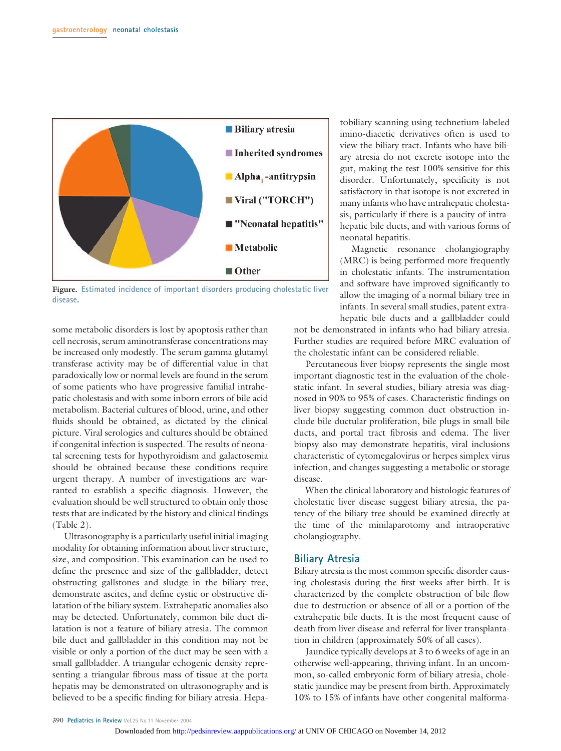

**Figure. Estimated incidence of important disorders producing cholestatic liver disease.**

some metabolic disorders is lost by apoptosis rather than cell necrosis, serum aminotransferase concentrations may be increased only modestly. The serum gamma glutamyl transferase activity may be of differential value in that paradoxically low or normal levels are found in the serum of some patients who have progressive familial intrahepatic cholestasis and with some inborn errors of bile acid metabolism. Bacterial cultures of blood, urine, and other fluids should be obtained, as dictated by the clinical picture. Viral serologies and cultures should be obtained if congenital infection is suspected. The results of neonatal screening tests for hypothyroidism and galactosemia should be obtained because these conditions require urgent therapy. A number of investigations are warranted to establish a specific diagnosis. However, the evaluation should be well structured to obtain only those tests that are indicated by the history and clinical findings (Table 2).

Ultrasonography is a particularly useful initial imaging modality for obtaining information about liver structure, size, and composition. This examination can be used to define the presence and size of the gallbladder, detect obstructing gallstones and sludge in the biliary tree, demonstrate ascites, and define cystic or obstructive dilatation of the biliary system. Extrahepatic anomalies also may be detected. Unfortunately, common bile duct dilatation is not a feature of biliary atresia. The common bile duct and gallbladder in this condition may not be visible or only a portion of the duct may be seen with a small gallbladder. A triangular echogenic density representing a triangular fibrous mass of tissue at the porta hepatis may be demonstrated on ultrasonography and is believed to be a specific finding for biliary atresia. Hepatobiliary scanning using technetium-labeled imino-diacetic derivatives often is used to view the biliary tract. Infants who have biliary atresia do not excrete isotope into the gut, making the test 100% sensitive for this disorder. Unfortunately, specificity is not satisfactory in that isotope is not excreted in many infants who have intrahepatic cholestasis, particularly if there is a paucity of intrahepatic bile ducts, and with various forms of neonatal hepatitis.

Magnetic resonance cholangiography (MRC) is being performed more frequently in cholestatic infants. The instrumentation and software have improved significantly to allow the imaging of a normal biliary tree in infants. In several small studies, patent extrahepatic bile ducts and a gallbladder could

not be demonstrated in infants who had biliary atresia. Further studies are required before MRC evaluation of the cholestatic infant can be considered reliable.

Percutaneous liver biopsy represents the single most important diagnostic test in the evaluation of the cholestatic infant. In several studies, biliary atresia was diagnosed in 90% to 95% of cases. Characteristic findings on liver biopsy suggesting common duct obstruction include bile ductular proliferation, bile plugs in small bile ducts, and portal tract fibrosis and edema. The liver biopsy also may demonstrate hepatitis, viral inclusions characteristic of cytomegalovirus or herpes simplex virus infection, and changes suggesting a metabolic or storage disease.

When the clinical laboratory and histologic features of cholestatic liver disease suggest biliary atresia, the patency of the biliary tree should be examined directly at the time of the minilaparotomy and intraoperative cholangiography.

#### **Biliary Atresia**

Biliary atresia is the most common specific disorder causing cholestasis during the first weeks after birth. It is characterized by the complete obstruction of bile flow due to destruction or absence of all or a portion of the extrahepatic bile ducts. It is the most frequent cause of death from liver disease and referral for liver transplantation in children (approximately 50% of all cases).

Jaundice typically develops at 3 to 6 weeks of age in an otherwise well-appearing, thriving infant. In an uncommon, so-called embryonic form of biliary atresia, cholestatic jaundice may be present from birth. Approximately 10% to 15% of infants have other congenital malforma-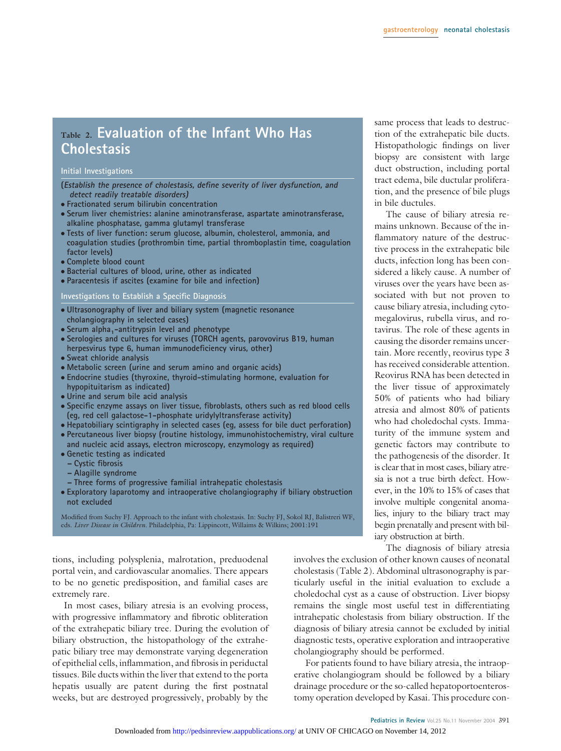# **Table 2. Evaluation of the Infant Who Has Cholestasis**

#### **Initial Investigations**

- (Establish the presence of cholestasis, define severity of liver dysfunction, and **detect readily treatable disorders)**
- **Fractionated serum bilirubin concentration**
- **Serum liver chemistries: alanine aminotransferase, aspartate aminotransferase, alkaline phosphatase, gamma glutamyl transferase**
- **Tests of liver function: serum glucose, albumin, cholesterol, ammonia, and coagulation studies (prothrombin time, partial thromboplastin time, coagulation factor levels)**
- **Complete blood count**
- **Bacterial cultures of blood, urine, other as indicated**
- **Paracentesis if ascites (examine for bile and infection)**

**Investigations to Establish a Specific Diagnosis**

- **Ultrasonography of liver and biliary system (magnetic resonance cholangiography in selected cases)**
- Serum alpha<sub>1</sub>-antitrypsin level and phenotype
- **Serologies and cultures for viruses (TORCH agents, parovovirus B19, human herpesvirus type 6, human immunodeficiency virus, other)**
- **Sweat chloride analysis**
- **Metabolic screen (urine and serum amino and organic acids)**
- **Endocrine studies (thyroxine, thyroid-stimulating hormone, evaluation for hypopituitarism as indicated)**
- **Urine and serum bile acid analysis**
- **Specific enzyme assays on liver tissue, fibroblasts, others such as red blood cells (eg, red cell galactose-1-phosphate uridylyltransferase activity)**
- **Hepatobiliary scintigraphy in selected cases (eg, assess for bile duct perforation)**
- **Percutaneous liver biopsy (routine histology, immunohistochemistry, viral culture and nucleic acid assays, electron microscopy, enzymology as required)**
- **Genetic testing as indicated**
- **Cystic fibrosis**
- **Alagille syndrome**
- **Three forms of progressive familial intrahepatic cholestasis**
- **Exploratory laparotomy and intraoperative cholangiography if biliary obstruction not excluded**

Modified from Suchy FJ. Approach to the infant with cholestasis. In: Suchy FJ, Sokol RJ, Balistreri WF, eds. *Liver Disease in Children.* Philadelphia, Pa: Lippincott, Willaims & Wilkins; 2001:191

tions, including polysplenia, malrotation, preduodenal portal vein, and cardiovascular anomalies. There appears to be no genetic predisposition, and familial cases are extremely rare.

In most cases, biliary atresia is an evolving process, with progressive inflammatory and fibrotic obliteration of the extrahepatic biliary tree. During the evolution of biliary obstruction, the histopathology of the extrahepatic biliary tree may demonstrate varying degeneration of epithelial cells, inflammation, and fibrosis in periductal tissues. Bile ducts within the liver that extend to the porta hepatis usually are patent during the first postnatal weeks, but are destroyed progressively, probably by the

same process that leads to destruction of the extrahepatic bile ducts. Histopathologic findings on liver biopsy are consistent with large duct obstruction, including portal tract edema, bile ductular proliferation, and the presence of bile plugs in bile ductules.

The cause of biliary atresia remains unknown. Because of the inflammatory nature of the destructive process in the extrahepatic bile ducts, infection long has been considered a likely cause. A number of viruses over the years have been associated with but not proven to cause biliary atresia, including cytomegalovirus, rubella virus, and rotavirus. The role of these agents in causing the disorder remains uncertain. More recently, reovirus type 3 has received considerable attention. Reovirus RNA has been detected in the liver tissue of approximately 50% of patients who had biliary atresia and almost 80% of patients who had choledochal cysts. Immaturity of the immune system and genetic factors may contribute to the pathogenesis of the disorder. It is clear that in most cases, biliary atresia is not a true birth defect. However, in the 10% to 15% of cases that involve multiple congenital anomalies, injury to the biliary tract may begin prenatally and present with biliary obstruction at birth.

The diagnosis of biliary atresia

involves the exclusion of other known causes of neonatal cholestasis (Table 2). Abdominal ultrasonography is particularly useful in the initial evaluation to exclude a choledochal cyst as a cause of obstruction. Liver biopsy remains the single most useful test in differentiating intrahepatic cholestasis from biliary obstruction. If the diagnosis of biliary atresia cannot be excluded by initial diagnostic tests, operative exploration and intraoperative cholangiography should be performed.

For patients found to have biliary atresia, the intraoperative cholangiogram should be followed by a biliary drainage procedure or the so-called hepatoportoenterostomy operation developed by Kasai. This procedure con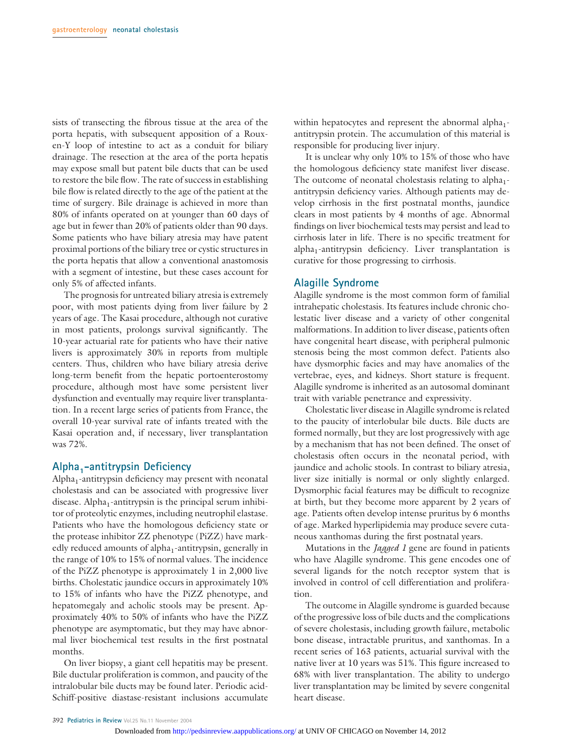sists of transecting the fibrous tissue at the area of the porta hepatis, with subsequent apposition of a Rouxen-Y loop of intestine to act as a conduit for biliary drainage. The resection at the area of the porta hepatis may expose small but patent bile ducts that can be used to restore the bile flow. The rate of success in establishing bile flow is related directly to the age of the patient at the time of surgery. Bile drainage is achieved in more than 80% of infants operated on at younger than 60 days of age but in fewer than 20% of patients older than 90 days. Some patients who have biliary atresia may have patent proximal portions of the biliary tree or cystic structures in the porta hepatis that allow a conventional anastomosis with a segment of intestine, but these cases account for only 5% of affected infants.

The prognosis for untreated biliary atresia is extremely poor, with most patients dying from liver failure by 2 years of age. The Kasai procedure, although not curative in most patients, prolongs survival significantly. The 10-year actuarial rate for patients who have their native livers is approximately 30% in reports from multiple centers. Thus, children who have biliary atresia derive long-term benefit from the hepatic portoenterostomy procedure, although most have some persistent liver dysfunction and eventually may require liver transplantation. In a recent large series of patients from France, the overall 10-year survival rate of infants treated with the Kasai operation and, if necessary, liver transplantation was 72%.

#### **Alpha1-antitrypsin Deficiency**

 $Alpha<sub>1</sub>$ -antitrypsin deficiency may present with neonatal cholestasis and can be associated with progressive liver disease. Alpha<sub>1</sub>-antitrypsin is the principal serum inhibitor of proteolytic enzymes, including neutrophil elastase. Patients who have the homologous deficiency state or the protease inhibitor ZZ phenotype (PiZZ) have markedly reduced amounts of alpha<sub>1</sub>-antitrypsin, generally in the range of 10% to 15% of normal values. The incidence of the PiZZ phenotype is approximately 1 in 2,000 live births. Cholestatic jaundice occurs in approximately 10% to 15% of infants who have the PiZZ phenotype, and hepatomegaly and acholic stools may be present. Approximately 40% to 50% of infants who have the PiZZ phenotype are asymptomatic, but they may have abnormal liver biochemical test results in the first postnatal months.

On liver biopsy, a giant cell hepatitis may be present. Bile ductular proliferation is common, and paucity of the intralobular bile ducts may be found later. Periodic acid-Schiff-positive diastase-resistant inclusions accumulate within hepatocytes and represent the abnormal alpha<sub>1</sub>antitrypsin protein. The accumulation of this material is responsible for producing liver injury.

It is unclear why only 10% to 15% of those who have the homologous deficiency state manifest liver disease. The outcome of neonatal cholestasis relating to alpha<sub>1</sub>antitrypsin deficiency varies. Although patients may develop cirrhosis in the first postnatal months, jaundice clears in most patients by 4 months of age. Abnormal findings on liver biochemical tests may persist and lead to cirrhosis later in life. There is no specific treatment for alpha<sub>1</sub>-antitrypsin deficiency. Liver transplantation is curative for those progressing to cirrhosis.

#### **Alagille Syndrome**

Alagille syndrome is the most common form of familial intrahepatic cholestasis. Its features include chronic cholestatic liver disease and a variety of other congenital malformations. In addition to liver disease, patients often have congenital heart disease, with peripheral pulmonic stenosis being the most common defect. Patients also have dysmorphic facies and may have anomalies of the vertebrae, eyes, and kidneys. Short stature is frequent. Alagille syndrome is inherited as an autosomal dominant trait with variable penetrance and expressivity.

Cholestatic liver disease in Alagille syndrome is related to the paucity of interlobular bile ducts. Bile ducts are formed normally, but they are lost progressively with age by a mechanism that has not been defined. The onset of cholestasis often occurs in the neonatal period, with jaundice and acholic stools. In contrast to biliary atresia, liver size initially is normal or only slightly enlarged. Dysmorphic facial features may be difficult to recognize at birth, but they become more apparent by 2 years of age. Patients often develop intense pruritus by 6 months of age. Marked hyperlipidemia may produce severe cutaneous xanthomas during the first postnatal years.

Mutations in the *Jagged 1* gene are found in patients who have Alagille syndrome. This gene encodes one of several ligands for the notch receptor system that is involved in control of cell differentiation and proliferation.

The outcome in Alagille syndrome is guarded because of the progressive loss of bile ducts and the complications of severe cholestasis, including growth failure, metabolic bone disease, intractable pruritus, and xanthomas. In a recent series of 163 patients, actuarial survival with the native liver at 10 years was 51%. This figure increased to 68% with liver transplantation. The ability to undergo liver transplantation may be limited by severe congenital heart disease.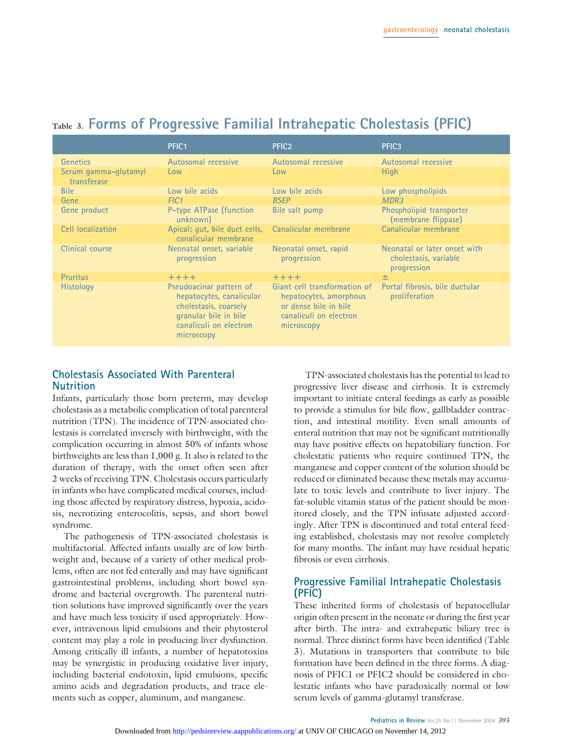|                                     | PFIC <sub>1</sub>                                                                                                                             | PFIC <sub>2</sub>                                                                                                       | PFIC <sub>3</sub>                                                    |
|-------------------------------------|-----------------------------------------------------------------------------------------------------------------------------------------------|-------------------------------------------------------------------------------------------------------------------------|----------------------------------------------------------------------|
| <b>Genetics</b>                     | Autosomal recessive                                                                                                                           | Autosomal recessive                                                                                                     | Autosomal recessive                                                  |
| Serum gamma-glutamyl<br>transferase | Low                                                                                                                                           | Low                                                                                                                     | <b>High</b>                                                          |
| <b>Bile</b>                         | Low bile acids                                                                                                                                | Low bile acids                                                                                                          | Low phospholipids                                                    |
| Gene                                | FIC <sub>1</sub>                                                                                                                              | <b>BSEP</b>                                                                                                             | MDR <sub>3</sub>                                                     |
| Gene product                        | P-type ATPase (function<br>unknown)                                                                                                           | Bile salt pump                                                                                                          | Phospholipid transporter<br>(membrane flippase)                      |
| Cell localization                   | Apical: qut, bile duct cells,<br>canalicular membrane                                                                                         | Canalicular membrane                                                                                                    | Canalicular membrane                                                 |
| Clinical course                     | Neonatal onset, variable<br>progression                                                                                                       | Neonatal onset, rapid<br>progression                                                                                    | Neonatal or later onset with<br>cholestasis, variable<br>progression |
| <b>Pruritus</b>                     | $+++++$                                                                                                                                       | $+ + + +$                                                                                                               | 土                                                                    |
| <b>Histology</b>                    | Pseudoacinar pattern of<br>hepatocytes, canalicular<br>cholestasis, coarsely<br>granular bile in bile<br>canaliculi on electron<br>microscopy | Giant cell transformation of<br>hepatocytes, amorphous<br>or dense bile in bile<br>canaliculi on electron<br>microscopy | Portal fibrosis, bile ductular<br>proliferation                      |

## **Table 3. Forms of Progressive Familial Intrahepatic Cholestasis (PFIC)**

#### **Cholestasis Associated With Parenteral Nutrition**

Infants, particularly those born preterm, may develop cholestasis as a metabolic complication of total parenteral nutrition (TPN). The incidence of TPN-associated cholestasis is correlated inversely with birthweight, with the complication occurring in almost 50% of infants whose birthweights are less than 1,000 g. It also is related to the duration of therapy, with the onset often seen after 2 weeks of receiving TPN. Cholestasis occurs particularly in infants who have complicated medical courses, including those affected by respiratory distress, hypoxia, acidosis, necrotizing enterocolitis, sepsis, and short bowel syndrome.

The pathogenesis of TPN-associated cholestasis is multifactorial. Affected infants usually are of low birthweight and, because of a variety of other medical problems, often are not fed enterally and may have significant gastrointestinal problems, including short bowel syndrome and bacterial overgrowth. The parenteral nutrition solutions have improved significantly over the years and have much less toxicity if used appropriately. However, intravenous lipid emulsions and their phytosterol content may play a role in producing liver dysfunction. Among critically ill infants, a number of hepatotoxins may be synergistic in producing oxidative liver injury, including bacterial endotoxin, lipid emulsions, specific amino acids and degradation products, and trace elements such as copper, aluminum, and manganese.

TPN-associated cholestasis has the potential to lead to progressive liver disease and cirrhosis. It is extremely important to initiate enteral feedings as early as possible to provide a stimulus for bile flow, gallbladder contraction, and intestinal motility. Even small amounts of enteral nutrition that may not be significant nutritionally may have positive effects on hepatobiliary function. For cholestatic patients who require continued TPN, the manganese and copper content of the solution should be reduced or eliminated because these metals may accumulate to toxic levels and contribute to liver injury. The fat-soluble vitamin status of the patient should be monitored closely, and the TPN infusate adjusted accordingly. After TPN is discontinued and total enteral feeding established, cholestasis may not resolve completely for many months. The infant may have residual hepatic fibrosis or even cirrhosis.

#### **Progressive Familial Intrahepatic Cholestasis (PFIC)**

These inherited forms of cholestasis of hepatocellular origin often present in the neonate or during the first year after birth. The intra- and extrahepatic biliary tree is normal. Three distinct forms have been identified (Table 3). Mutations in transporters that contribute to bile formation have been defined in the three forms. A diagnosis of PFIC1 or PFIC2 should be considered in cholestatic infants who have paradoxically normal or low serum levels of gamma-glutamyl transferase.

Pediatrics in Review Vol.25 No.11 November 2004 393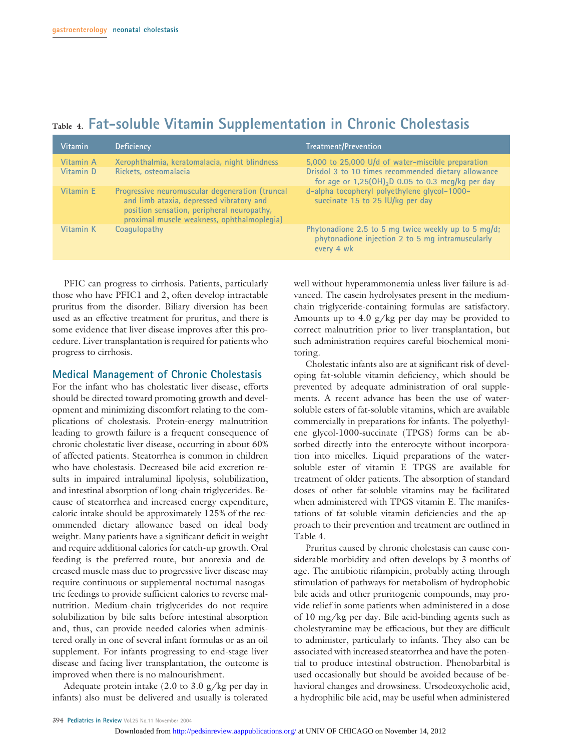| <b>Vitamin</b>         | <b>Deficiency</b>                                                                                                                                                                       | Treatment/Prevention                                                                                                                                              |
|------------------------|-----------------------------------------------------------------------------------------------------------------------------------------------------------------------------------------|-------------------------------------------------------------------------------------------------------------------------------------------------------------------|
| Vitamin A<br>Vitamin D | Xerophthalmia, keratomalacia, night blindness<br>Rickets, osteomalacia                                                                                                                  | 5,000 to 25,000 U/d of water-miscible preparation<br>Drisdol 3 to 10 times recommended dietary allowance<br>for age or $1,25(OH)_{2}D 0.05$ to 0.3 mcg/kg per day |
| Vitamin E              | Progressive neuromuscular degeneration (truncal<br>and limb ataxia, depressed vibratory and<br>position sensation, peripheral neuropathy,<br>proximal muscle weakness, ophthalmoplegia) | d-alpha tocopheryl polyethylene glycol-1000-<br>succinate 15 to 25 IU/kg per day                                                                                  |
| Vitamin K              | Coaquiopathy                                                                                                                                                                            | Phytonadione 2.5 to 5 mg twice weekly up to 5 mg/d;<br>phytonadione injection 2 to 5 mg intramuscularly<br>every 4 wk                                             |

### **Table 4. Fat-soluble Vitamin Supplementation in Chronic Cholestasis**

PFIC can progress to cirrhosis. Patients, particularly those who have PFIC1 and 2, often develop intractable pruritus from the disorder. Biliary diversion has been used as an effective treatment for pruritus, and there is some evidence that liver disease improves after this procedure. Liver transplantation is required for patients who progress to cirrhosis.

#### **Medical Management of Chronic Cholestasis**

For the infant who has cholestatic liver disease, efforts should be directed toward promoting growth and development and minimizing discomfort relating to the complications of cholestasis. Protein-energy malnutrition leading to growth failure is a frequent consequence of chronic cholestatic liver disease, occurring in about 60% of affected patients. Steatorrhea is common in children who have cholestasis. Decreased bile acid excretion results in impaired intraluminal lipolysis, solubilization, and intestinal absorption of long-chain triglycerides. Because of steatorrhea and increased energy expenditure, caloric intake should be approximately 125% of the recommended dietary allowance based on ideal body weight. Many patients have a significant deficit in weight and require additional calories for catch-up growth. Oral feeding is the preferred route, but anorexia and decreased muscle mass due to progressive liver disease may require continuous or supplemental nocturnal nasogastric feedings to provide sufficient calories to reverse malnutrition. Medium-chain triglycerides do not require solubilization by bile salts before intestinal absorption and, thus, can provide needed calories when administered orally in one of several infant formulas or as an oil supplement. For infants progressing to end-stage liver disease and facing liver transplantation, the outcome is improved when there is no malnourishment.

Adequate protein intake (2.0 to 3.0 g/kg per day in infants) also must be delivered and usually is tolerated

well without hyperammonemia unless liver failure is advanced. The casein hydrolysates present in the mediumchain triglyceride-containing formulas are satisfactory. Amounts up to 4.0 g/kg per day may be provided to correct malnutrition prior to liver transplantation, but such administration requires careful biochemical monitoring.

Cholestatic infants also are at significant risk of developing fat-soluble vitamin deficiency, which should be prevented by adequate administration of oral supplements. A recent advance has been the use of watersoluble esters of fat-soluble vitamins, which are available commercially in preparations for infants. The polyethylene glycol-1000-succinate (TPGS) forms can be absorbed directly into the enterocyte without incorporation into micelles. Liquid preparations of the watersoluble ester of vitamin E TPGS are available for treatment of older patients. The absorption of standard doses of other fat-soluble vitamins may be facilitated when administered with TPGS vitamin E. The manifestations of fat-soluble vitamin deficiencies and the approach to their prevention and treatment are outlined in Table 4.

Pruritus caused by chronic cholestasis can cause considerable morbidity and often develops by 3 months of age. The antibiotic rifampicin, probably acting through stimulation of pathways for metabolism of hydrophobic bile acids and other pruritogenic compounds, may provide relief in some patients when administered in a dose of 10 mg/kg per day. Bile acid-binding agents such as cholestyramine may be efficacious, but they are difficult to administer, particularly to infants. They also can be associated with increased steatorrhea and have the potential to produce intestinal obstruction. Phenobarbital is used occasionally but should be avoided because of behavioral changes and drowsiness. Ursodeoxycholic acid, a hydrophilic bile acid, may be useful when administered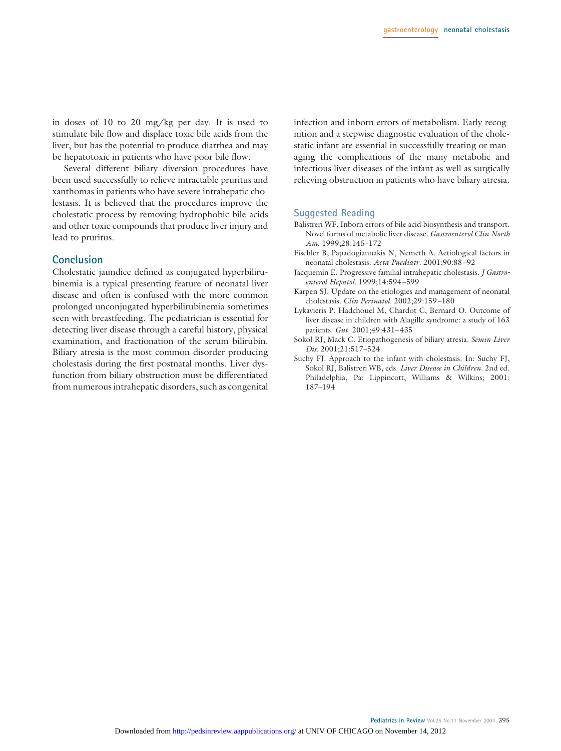in doses of 10 to 20 mg/kg per day. It is used to stimulate bile flow and displace toxic bile acids from the liver, but has the potential to produce diarrhea and may be hepatotoxic in patients who have poor bile flow.

Several different biliary diversion procedures have been used successfully to relieve intractable pruritus and xanthomas in patients who have severe intrahepatic cholestasis. It is believed that the procedures improve the cholestatic process by removing hydrophobic bile acids and other toxic compounds that produce liver injury and lead to pruritus.

#### **Conclusion**

Cholestatic jaundice defined as conjugated hyperbilirubinemia is a typical presenting feature of neonatal liver disease and often is confused with the more common prolonged unconjugated hyperbilirubinemia sometimes seen with breastfeeding. The pediatrician is essential for detecting liver disease through a careful history, physical examination, and fractionation of the serum bilirubin. Biliary atresia is the most common disorder producing cholestasis during the first postnatal months. Liver dysfunction from biliary obstruction must be differentiated from numerous intrahepatic disorders, such as congenital

infection and inborn errors of metabolism. Early recognition and a stepwise diagnostic evaluation of the cholestatic infant are essential in successfully treating or managing the complications of the many metabolic and infectious liver diseases of the infant as well as surgically relieving obstruction in patients who have biliary atresia.

#### **Suggested Reading**

- Balistreri WF. Inborn errors of bile acid biosynthesis and transport. Novel forms of metabolic liver disease*. Gastroenterol Clin North Am*. 1999;28:145–172
- Fischler B, Papadogiannakis N, Nemeth A. Aetiological factors in neonatal cholestasis. *Acta Paediatr*. 2001;90:88–92
- Jacquemin E. Progressive familial intrahepatic cholestasis*. J Gastroenterol Hepatol*. 1999;14:594–599
- Karpen SJ. Update on the etiologies and management of neonatal cholestasis*. Clin Perinatol*. 2002;29:159–180
- Lykavieris P, Hadchouel M, Chardot C, Bernard O. Outcome of liver disease in children with Alagille syndrome: a study of 163 patients. *Gut*. 2001;49:431–435
- Sokol RJ, Mack C. Etiopathogenesis of biliary atresia*. Semin Liver Dis*. 2001;21:517–524
- Suchy FJ. Approach to the infant with cholestasis. In: Suchy FJ, Sokol RJ, Balistreri WB, eds. *Liver Disease in Children*. 2nd ed. Philadelphia, Pa: Lippincott, Williams & Wilkins; 2001: 187–194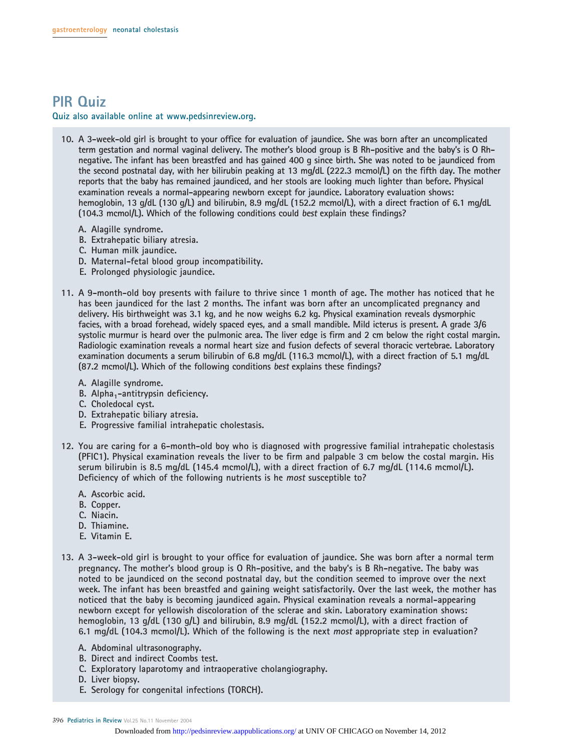# **PIR Quiz**

**Quiz also available online at www.pedsinreview.org.**

- **10. A 3-week-old girl is brought to your office for evaluation of jaundice. She was born after an uncomplicated term gestation and normal vaginal delivery. The mother's blood group is B Rh-positive and the baby's is O Rhnegative. The infant has been breastfed and has gained 400 g since birth. She was noted to be jaundiced from the second postnatal day, with her bilirubin peaking at 13 mg/dL (222.3 mcmol/L) on the fifth day. The mother reports that the baby has remained jaundiced, and her stools are looking much lighter than before. Physical examination reveals a normal-appearing newborn except for jaundice. Laboratory evaluation shows: hemoglobin, 13 g/dL (130 g/L) and bilirubin, 8.9 mg/dL (152.2 mcmol/L), with a direct fraction of 6.1 mg/dL (104.3 mcmol/L). Which of the following conditions could best explain these findings?**
	- **A. Alagille syndrome.**
	- **B. Extrahepatic biliary atresia.**
	- **C. Human milk jaundice.**
	- **D. Maternal-fetal blood group incompatibility.**
	- **E. Prolonged physiologic jaundice.**
- **11. A 9-month-old boy presents with failure to thrive since 1 month of age. The mother has noticed that he has been jaundiced for the last 2 months. The infant was born after an uncomplicated pregnancy and delivery. His birthweight was 3.1 kg, and he now weighs 6.2 kg. Physical examination reveals dysmorphic facies, with a broad forehead, widely spaced eyes, and a small mandible. Mild icterus is present. A grade 3/6 systolic murmur is heard over the pulmonic area. The liver edge is firm and 2 cm below the right costal margin. Radiologic examination reveals a normal heart size and fusion defects of several thoracic vertebrae. Laboratory examination documents a serum bilirubin of 6.8 mg/dL (116.3 mcmol/L), with a direct fraction of 5.1 mg/dL (87.2 mcmol/L). Which of the following conditions best explains these findings?**
	- **A. Alagille syndrome.**
	- **B.** Alpha<sub>1</sub>-antitrypsin deficiency.
	- **C. Choledocal cyst.**
	- **D. Extrahepatic biliary atresia.**
	- **E. Progressive familial intrahepatic cholestasis.**
- **12. You are caring for a 6-month-old boy who is diagnosed with progressive familial intrahepatic cholestasis (PFIC1). Physical examination reveals the liver to be firm and palpable 3 cm below the costal margin. His serum bilirubin is 8.5 mg/dL (145.4 mcmol/L), with a direct fraction of 6.7 mg/dL (114.6 mcmol/L). Deficiency of which of the following nutrients is he most susceptible to?**
	- **A. Ascorbic acid.**
	- **B. Copper.**
	- **C. Niacin.**
	- **D. Thiamine.**
	- **E. Vitamin E.**
- **13. A 3-week-old girl is brought to your office for evaluation of jaundice. She was born after a normal term pregnancy. The mother's blood group is O Rh-positive, and the baby's is B Rh-negative. The baby was noted to be jaundiced on the second postnatal day, but the condition seemed to improve over the next week. The infant has been breastfed and gaining weight satisfactorily. Over the last week, the mother has noticed that the baby is becoming jaundiced again. Physical examination reveals a normal-appearing newborn except for yellowish discoloration of the sclerae and skin. Laboratory examination shows: hemoglobin, 13 g/dL (130 g/L) and bilirubin, 8.9 mg/dL (152.2 mcmol/L), with a direct fraction of 6.1 mg/dL (104.3 mcmol/L). Which of the following is the next most appropriate step in evaluation?**
	- **A. Abdominal ultrasonography.**
	- **B. Direct and indirect Coombs test.**
	- **C. Exploratory laparotomy and intraoperative cholangiography.**
	- **D. Liver biopsy.**
	- **E. Serology for congenital infections (TORCH).**